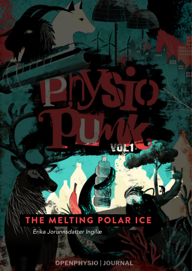## THE MELTING POLAR ICE

**VoL1** 

*Erika Jorunnsdatter Ingilæ*

**OPENPHYSIO | JOURNAL**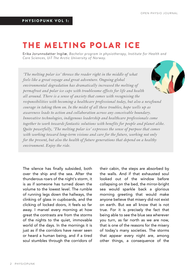## THE MELTING POLAR ICE

Erika Jorunnsdatter Ingilæ*, Bachelor program in physiotherapy, Institute for Health and Care Sciences, UiT The Arctic University of Norway.*

*'The melting polar ice' throws the reader right in the middle of what feels like a great voyage and great adventure. Ongoing global environmental degradation has dramatically increased the melting of permafrost and polar ice caps with troublesome effects for life and health all around. There is a sense of anxiety that comes with recognising the responsibilities with becoming a healthcare professional today, but also a newfound courage in taking them on. In the midst of all these troubles, hope wells up as awareness leads to action and collaboration across any conceivable boundary. Innovative technologies, indigenous leadership and healthcare professionals come together to work towards fantastic solutions with benefits for people and planet alike. Quite powerfully, 'The melting polar ice' expresses the sense of purpose that comes with working toward long-term visions and care for the future, working not only for the present, but also the health of future generations that depend on a healthy environment. Enjoy the ride.*

The silence has finally subsided, both over the ship and the sea. After the thunderous roars of the night's storm, it is as if someone has turned down the volume to the lowest level. The rumble of running legs down the hallways, the clinking of glass in cupboards, and the clicking of locked doors, it feels so far away. I marvel every morning at how great the contrasts are from the storms of the nights to the quiet, immovable world of the days. In the mornings it is just as if the corridors have never seen or heard a human being, and if a tired soul stumbles through the corridors of their cabin, the steps are absorbed by the walls. And if that exhausted soul looked out of the window before collapsing on the bed, the mirror-bright sea would sparkle back a glorious morning greeting that would make anyone believe that misery did not exist on earth. But we all know that is not true. For it is precisely the fact that being able to see the blue sea wherever you turn, as far north as we are now, that is one of the reasons for the misery of today's many societies. The storms that appear every night are, among other things, a consequence of the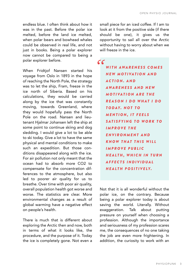endless blue. I often think about how it was in the past. Before the polar ice melted, before the land ice melted, when polar bears and bowhead whales could be observed in real life, and not just in books. Being a polar explorer now cannot be compared to being a polar explorer before.

When Fridtjof Nansen started his voyage from Oslo in 1893 in the hope of reaching the North Pole, the strategy was to let the ship, Fram, freeze in the ice north of Siberia. Based on his calculations, they would be carried along by the ice that was constantly moving, towards Greenland, where they would hopefully pass the North Pole on the road. Nansen and lieutenant Hjalmar Johansen left the ship at some point to continue skiing and dog sledding. I would give a lot to be able to ski today. Give a lot to have the same physical and mental conditions to make such an expedition. But those conditions disappeared along with the ice. For air pollution not only meant that the ocean had to absorb more CO2 to compensate for the concentration differences to the atmosphere, but also led to poorer air quality for us to breathe. Over time with poor air quality, overall population health got worse and worse. The statistics are clear. More environmental changes as a result of global warming have a negative effect on people's health.

There is much that is different about exploring the Arctic then and now, both in terms of what it looks like, the procedure, and the purpose of it. Today the ice is completely gone. Not even a

small piece for an iced coffee. If I am to look at it from the positive side (if there should be one), it gives us the opportunity to sail all over the Arctic without having to worry about when we will freeze in the ice

 $cc$ 

*W I T H AW A R E N E S S C O M E S N E W M O T I VA T I O N A N D A C T I O N . A N D AW A R E N E S S A N D N E W M O T I VA T I O N A R E T H E R E A S O N I D O W H A T I D O T O D AY. N O T T O M E N T I O N , I T F E E L S* **SATISFYING TO WORK TO** *I M P R O V E T H E E N V I R O N M E N T A N D K N O W T H A T T H I S W I L L I M P R O V E P U B L I C H E A L T H , W H I C H I N T U R N A F F E C T S I N D I V I D U A L H E A L T H P O S I T I V E LY.*

Not that it is all wonderful without the polar ice, on the contrary. Because being a polar explorer today is about saving the world. Literally. Without exaggeration. Talk about putting pressure on yourself when choosing a profession. Although the importance and seriousness of my profession scares me, the consequences of no one taking the job are even more frightening. In addition, the curiosity to work with an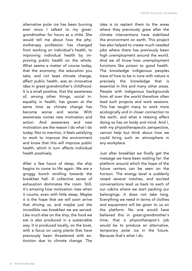alternative polar ice has been burning ever since I talked to my greatgrandmother for hours as a child. She would tell me about how the physiotherapy profession has changed from working on individual's health, to improving individual health by improving public health on the whole. What seems a matter of course today, that the economy, the education you take, and not least climate change, affect public health, was an innovative idea in great-grandmother's childhood. It is a small positive, that the awareness of, among other things, social inequality in health, has grown at the same time as climate change has become worse and worse. With awareness comes new motivation and action. And awareness and new motivation are the reason I do what I do today. Not to mention, it feels satisfying to work to improve the environment and know that this will improve public health, which in turn affects individual health positively.

After a few hours of sleep, the ship begins to come to life again. We are a groggy bunch strolling towards the breakfast hall. A collective sense of exhaustion dominates the room. Still, it's amazing how motivation rises when it counts, even with little sleep. Maybe it is the hope that we will soon arrive that driving us, and maybe just the incredible raw breakfast we are served. Like much else on the ship, the food we eat is also produced in a sustainable way. It is produced locally, on the boat, with a focus on using plants that have previously been threatened with extinction due to climate change. The idea is to replant them to the areas where they previously grew after the climate interventions have stabilised the environment on earth. This project has also helped to create much-needed jobs where there has previously been high unemployment around the world. And we all know how unemployment functions like poison to good health. The knowledge indigenous peoples have of how to be in tune with nature is precisely the knowledge that is essential in this and many other areas. People with indigenous backgrounds from all over the world therefore often lead such projects and work sessions. This has taught many to work more ecologically and in closer connection to the earth, and what a relaxing effect doing so has on body and mind. And I, with my physiotherapeutic perspective, cannot help but think about how we could bring such an atmosphere in any workplace.

Just after breakfast we finally get the message we have been waiting for: the platform around which the hope of the future centers can be seen on the horizon. The energy level is suddenly raised several notches, and excited conversations lead us back to each of our cabins where we start packing our belongings. It does not take long. Everything we need in terms of clothes and equipment will be given to us on the platform. No one would have believed this in great-grandmother's time, that a physiotherapist's job would be to produce an alternative, temporary polar ice in the future. Because that's what I do.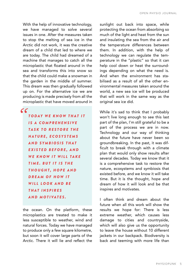With the help of innovative technology, we have managed to solve several issues in one. After the measures taken to stop the melting of sea ice in the Arctic did not work, it was the creative dream of a child that led to where we are today. The child had dreamed of a machine that manages to catch all the microplastic that floated around in the sea and transforms this into snow so that the child could make a snowman in the garden in the middle of summer. This dream was then gradually followed up on. For the alternative ice we are producing is made precisely from all the microplastic that have moved around in

 $cc$ *T O D AY W E K N O W T H A T I T I S A C O M P R E H E N S I V E T A S K T O R E S T O R E T H E N A T U R E , E C O S Y S T E M S A N D S Y M B I O S I S T H A T E X I S T E D B E F O R E , A N D WE KNOW IT WILL TAKE* **TIME. BUT IT IS THE** *T H O U G H T, H O P E A N D* **DREAM OF HOW IT** WILL LOOK AND BE *T H A T I N S P I R E S A N D M O T I VA T E S .*

the ocean. On the platform, these microplastics are treated to make it less susceptible to weather, wind and natural forces. Today we have managed to produce only a few square kilometre, but soon it will cover large parts of the Arctic. There it will lie and reflect the

sunlight out back into space, while protecting the ocean from absorbing so much of the light and heat from the sun and insulating the sea from the air and the temperature differences between them. In addition, with the help of technology we can regulate the temperature in the "plastic" so that it can help cool down or heat the surroundings depending on what the need is. And when the environment has stabilised as a result of all the other environmental measures taken around the world, a new sea ice will be produced that will work in the same way as the original sea ice did.

While it's sad to think that I probably won't live long enough to see this last part of the plan, I'm still grateful to be a part of the process we are in now. Technology and our way of thinking about the future have never been so groundbreaking. In the past, it was difficult to break through with a climate plan that would only show results after several decades. Today we know that it is a comprehensive task to restore the nature, ecosystems and symbiosis that existed before, and we know it will take time. But it is the thought, hope and dream of how it will look and be that inspires and motivates.

I often think and dream about the future when all this work will show the results we hope for: There is less extreme weather, which causes less damage to cities and countryside, which will also give us the opportunity to leave the house without 10 different jackets in our backpack. Biodiversity is back and teeming with more life than